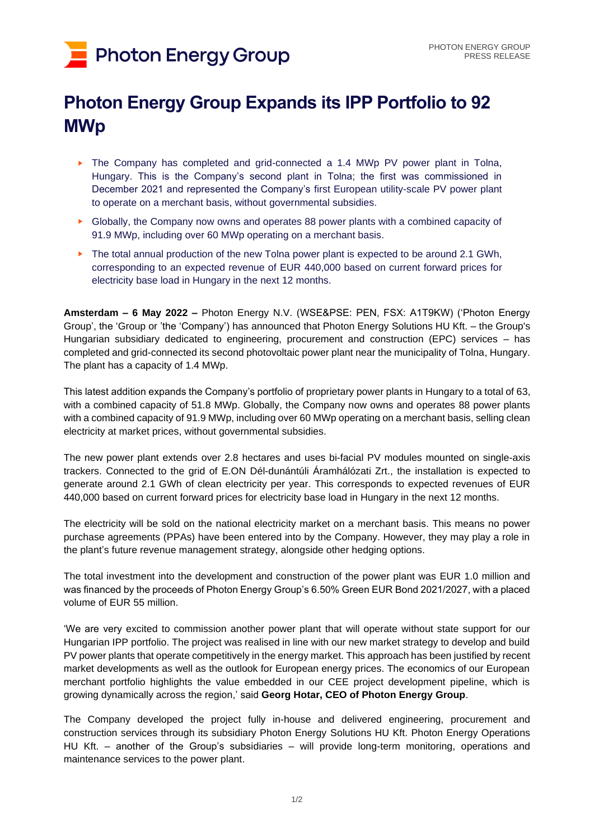# **Photon Energy Group**

## **Photon Energy Group Expands its IPP Portfolio to 92 MWp**

- ► The Company has completed and grid-connected a 1.4 MWp PV power plant in Tolna, Hungary. This is the Company's second plant in Tolna; the first was commissioned in December 2021 and represented the Company's first European utility-scale PV power plant to operate on a merchant basis, without governmental subsidies.
- ► Globally, the Company now owns and operates 88 power plants with a combined capacity of 91.9 MWp, including over 60 MWp operating on a merchant basis.
- ► The total annual production of the new Tolna power plant is expected to be around 2.1 GWh, corresponding to an expected revenue of EUR 440,000 based on current forward prices for electricity base load in Hungary in the next 12 months.

**Amsterdam – 6 May 2022 –** Photon Energy N.V. (WSE&PSE: PEN, FSX: A1T9KW) ('Photon Energy Group', the 'Group or 'the 'Company') has announced that Photon Energy Solutions HU Kft. – the Group's Hungarian subsidiary dedicated to engineering, procurement and construction (EPC) services – has completed and grid-connected its second photovoltaic power plant near the municipality of Tolna, Hungary. The plant has a capacity of 1.4 MWp.

This latest addition expands the Company's portfolio of proprietary power plants in Hungary to a total of 63, with a combined capacity of 51.8 MWp. Globally, the Company now owns and operates 88 power plants with a combined capacity of 91.9 MWp, including over 60 MWp operating on a merchant basis, selling clean electricity at market prices, without governmental subsidies.

The new power plant extends over 2.8 hectares and uses bi-facial PV modules mounted on single-axis trackers. Connected to the grid of E.ON Dél-dunántúli Áramhálózati Zrt., the installation is expected to generate around 2.1 GWh of clean electricity per year. This corresponds to expected revenues of EUR 440,000 based on current forward prices for electricity base load in Hungary in the next 12 months.

The electricity will be sold on the national electricity market on a merchant basis. This means no power purchase agreements (PPAs) have been entered into by the Company. However, they may play a role in the plant's future revenue management strategy, alongside other hedging options.

The total investment into the development and construction of the power plant was EUR 1.0 million and was financed by the proceeds of Photon Energy Group's 6.50% Green EUR Bond 2021/2027, with a placed volume of EUR 55 million.

'We are very excited to commission another power plant that will operate without state support for our Hungarian IPP portfolio. The project was realised in line with our new market strategy to develop and build PV power plants that operate competitively in the energy market. This approach has been justified by recent market developments as well as the outlook for European energy prices. The economics of our European merchant portfolio highlights the value embedded in our CEE project development pipeline, which is growing dynamically across the region,' said **Georg Hotar, CEO of Photon Energy Group**.

The Company developed the project fully in-house and delivered engineering, procurement and construction services through its subsidiary Photon Energy Solutions HU Kft. Photon Energy Operations HU Kft. – another of the Group's subsidiaries – will provide long-term monitoring, operations and maintenance services to the power plant.